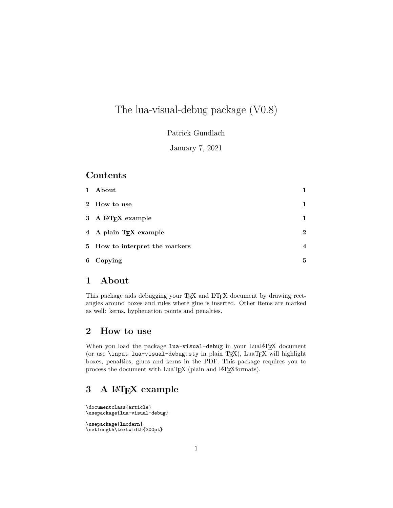# The lua-visual-debug package (V0.8)

Patrick Gundlach

January 7, 2021

#### **Contents**

| $\mathbf{1}$ | About                              |             |
|--------------|------------------------------------|-------------|
|              | 2 How to use                       |             |
|              | 3 A IAT <sub>F</sub> X example     |             |
|              | 4 A plain T <sub>F</sub> X example | $\mathbf 2$ |
|              | 5 How to interpret the markers     | 4           |
| 6            | Copying                            | 5           |

#### **1 About**

This package aids debugging your TEX and IATEX document by drawing rectangles around boxes and rules where glue is inserted. Other items are marked as well: kerns, hyphenation points and penalties.

### **2 How to use**

When you load the package lua-visual-debug in your LuaLATEX document (or use \input lua-visual-debug.sty in plain TEX), LuaTEX will highlight boxes, penalties, glues and kerns in the PDF. This package requires you to process the document with LuaT<sub>E</sub>X (plain and L<sup>AT</sup>EXformats).

### **3 A LATEX example**

\documentclass{article} \usepackage{lua-visual-debug}

\usepackage{lmodern} \setlength\textwidth{300pt}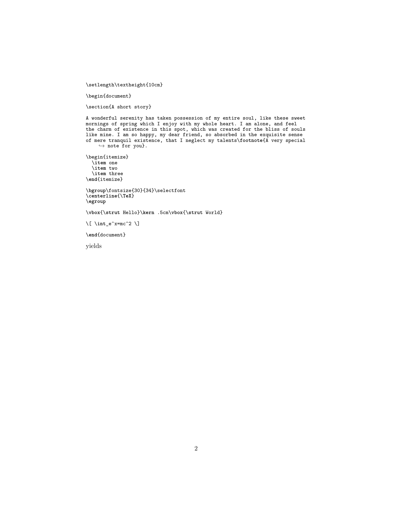\setlength\textheight{10cm}

\begin{document}

\section{A short story}

A wonderful serenity has taken possession of my entire soul, like these sweet mornings of spring which I enjoy with my whole heart. I am alone, and feel the charm of existence in this spot, which was created for the bliss of souls like mine. I am so happy, my dear friend, so absorbed in the exquisite sense of mere tranquil existence, that I neglect my talents\**footnote**{A very special *,*→ note for you}.

\begin{itemize} \**item** one \**item** two \**item** three \**end**{itemize}

\**bgroup**\fontsize{30}{34}\selectfont \**centerline**{\**TeX**} \**egroup**

\**vbox**{\**strut** Hello}\**kern** .5cm\**vbox**{\**strut** World}

\[ \**int**\_e^x=mc^2 \]

\**end**{document}

yields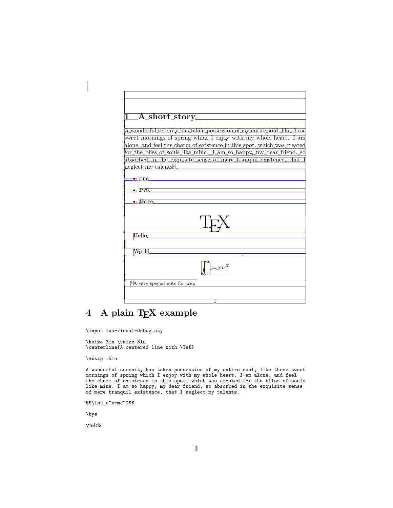| $\Box A$ short_story.<br>A_wonderful_serenity_has_taken_possession_of_my_entire_soul,_like_these<br>sweet_mornings_of_spring_which_L_enjoy_with_my_whole_heart._L_am<br>alone, and feel the charm of existence in this spot, which was created<br>for_the_bliss_of_souls_like_mine._I_am_so_happy,_my_dear_friend,_so<br>absorbed_in_the_exquisite_sense_of_mere_tranquil_existence,_that_<br>neglect_my_talents<br>$\bullet$ one.<br>$\bullet$ $\text{Lwo}$<br>$\bullet$ three<br>Hello.<br>World.<br>$l = mc^2$<br>$\mathbb{F}$ A very special note for you. |  |
|----------------------------------------------------------------------------------------------------------------------------------------------------------------------------------------------------------------------------------------------------------------------------------------------------------------------------------------------------------------------------------------------------------------------------------------------------------------------------------------------------------------------------------------------------------------|--|
|                                                                                                                                                                                                                                                                                                                                                                                                                                                                                                                                                                |  |
|                                                                                                                                                                                                                                                                                                                                                                                                                                                                                                                                                                |  |
|                                                                                                                                                                                                                                                                                                                                                                                                                                                                                                                                                                |  |
|                                                                                                                                                                                                                                                                                                                                                                                                                                                                                                                                                                |  |
|                                                                                                                                                                                                                                                                                                                                                                                                                                                                                                                                                                |  |
|                                                                                                                                                                                                                                                                                                                                                                                                                                                                                                                                                                |  |
|                                                                                                                                                                                                                                                                                                                                                                                                                                                                                                                                                                |  |
|                                                                                                                                                                                                                                                                                                                                                                                                                                                                                                                                                                |  |
|                                                                                                                                                                                                                                                                                                                                                                                                                                                                                                                                                                |  |
|                                                                                                                                                                                                                                                                                                                                                                                                                                                                                                                                                                |  |
|                                                                                                                                                                                                                                                                                                                                                                                                                                                                                                                                                                |  |
|                                                                                                                                                                                                                                                                                                                                                                                                                                                                                                                                                                |  |
|                                                                                                                                                                                                                                                                                                                                                                                                                                                                                                                                                                |  |
|                                                                                                                                                                                                                                                                                                                                                                                                                                                                                                                                                                |  |
|                                                                                                                                                                                                                                                                                                                                                                                                                                                                                                                                                                |  |
|                                                                                                                                                                                                                                                                                                                                                                                                                                                                                                                                                                |  |
|                                                                                                                                                                                                                                                                                                                                                                                                                                                                                                                                                                |  |
|                                                                                                                                                                                                                                                                                                                                                                                                                                                                                                                                                                |  |
|                                                                                                                                                                                                                                                                                                                                                                                                                                                                                                                                                                |  |
|                                                                                                                                                                                                                                                                                                                                                                                                                                                                                                                                                                |  |

## **4 A plain TEX example**

\**input** lua-visual-debug.sty

\**hsize** 3in \**vsize** 3in \**centerline**{A centered line with \**TeX**}

\**vskip** .5in

 $\begin{array}{c} \hline \end{array}$ 

A wonderful serenity has taken possession of my entire soul, like these sweet mornings of spring which I enjoy with my whole heart. I am alone, and feel the charm of existence in this spot, which was created for the bliss of souls like mine. I am so happy, my dear friend, so absorbed in the exquisite sense of mere tranquil existence, that I neglect my talents.

\$\$\**int**\_e^x=mc^2\$\$

\**bye**

yields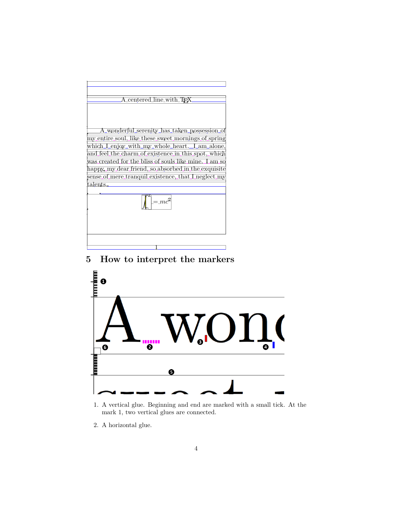

## **5 How to interpret the markers**



1. A vertical glue. Beginning and end are marked with a small tick. At the mark 1, two vertical glues are connected.

2. A horizontal glue.